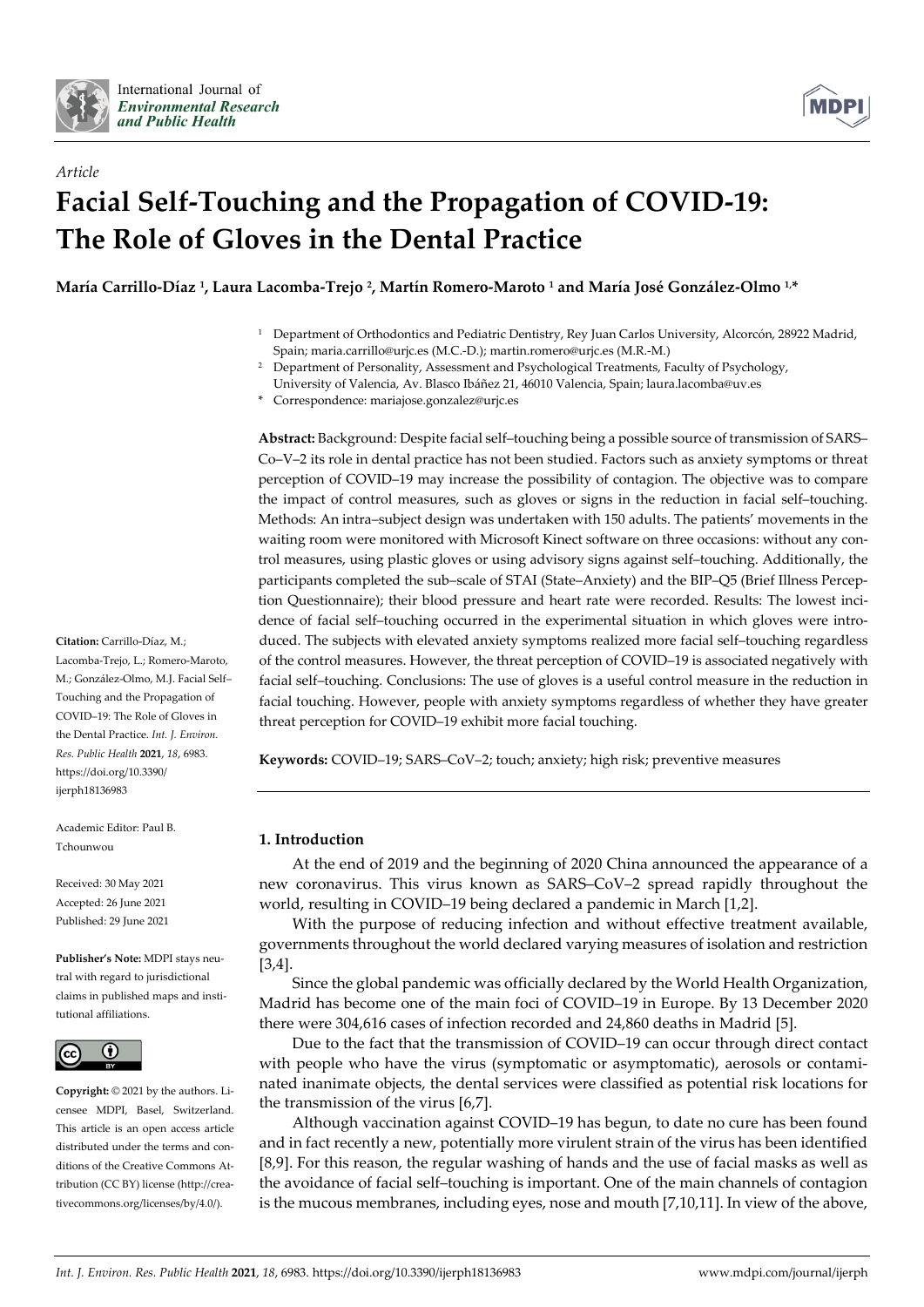



# *Article* **Facial Self-Touching and the Propagation of COVID-19: The Role of Gloves in the Dental Practice**

**María Carrillo-Díaz 1, Laura Lacomba-Trejo 2, Martín Romero-Maroto <sup>1</sup> and María José González-Olmo 1,\***

- <sup>1</sup> Department of Orthodontics and Pediatric Dentistry, Rey Juan Carlos University, Alcorcón, 28922 Madrid, Spain; maria.carrillo@urjc.es (M.C.-D.); martin.romero@urjc.es (M.R.-M.)
- <sup>2</sup> Department of Personality, Assessment and Psychological Treatments, Faculty of Psychology,
- University of Valencia, Av. Blasco Ibáñez 21, 46010 Valencia, Spain; laura.lacomba@uv.es \* Correspondence: mariajose.gonzalez@urjc.es

**Abstract:** Background: Despite facial self–touching being a possible source of transmission of SARS– Co–V–2 its role in dental practice has not been studied. Factors such as anxiety symptoms or threat perception of COVID–19 may increase the possibility of contagion. The objective was to compare the impact of control measures, such as gloves or signs in the reduction in facial self–touching. Methods: An intra–subject design was undertaken with 150 adults. The patients' movements in the waiting room were monitored with Microsoft Kinect software on three occasions: without any control measures, using plastic gloves or using advisory signs against self–touching. Additionally, the participants completed the sub–scale of STAI (State–Anxiety) and the BIP–Q5 (Brief Illness Perception Questionnaire); their blood pressure and heart rate were recorded. Results: The lowest incidence of facial self–touching occurred in the experimental situation in which gloves were introduced. The subjects with elevated anxiety symptoms realized more facial self–touching regardless of the control measures. However, the threat perception of COVID–19 is associated negatively with facial self–touching. Conclusions: The use of gloves is a useful control measure in the reduction in facial touching. However, people with anxiety symptoms regardless of whether they have greater threat perception for COVID–19 exhibit more facial touching.

**Keywords:** COVID–19; SARS–CoV–2; touch; anxiety; high risk; preventive measures

## **1. Introduction**

At the end of 2019 and the beginning of 2020 China announced the appearance of a new coronavirus. This virus known as SARS–CoV–2 spread rapidly throughout the world, resulting in COVID–19 being declared a pandemic in March [1,2].

With the purpose of reducing infection and without effective treatment available, governments throughout the world declared varying measures of isolation and restriction [3,4].

Since the global pandemic was officially declared by the World Health Organization, Madrid has become one of the main foci of COVID–19 in Europe. By 13 December 2020 there were 304,616 cases of infection recorded and 24,860 deaths in Madrid [5].

Due to the fact that the transmission of COVID–19 can occur through direct contact with people who have the virus (symptomatic or asymptomatic), aerosols or contaminated inanimate objects, the dental services were classified as potential risk locations for the transmission of the virus [6,7].

Although vaccination against COVID–19 has begun, to date no cure has been found and in fact recently a new, potentially more virulent strain of the virus has been identified [8,9]. For this reason, the regular washing of hands and the use of facial masks as well as the avoidance of facial self–touching is important. One of the main channels of contagion is the mucous membranes, including eyes, nose and mouth [7,10,11]. In view of the above,

**Citation:** Carrillo-Díaz, M.; Lacomba-Trejo, L.; Romero-Maroto, M.; González-Olmo, M.J. Facial Self– Touching and the Propagation of COVID–19: The Role of Gloves in the Dental Practice. *Int. J. Environ. Res. Public Health* **2021**, *18*, 6983. https://doi.org/10.3390/

Academic Editor: Paul B. Tchounwou

ijerph18136983

Received: 30 May 2021 Accepted: 26 June 2021 Published: 29 June 2021

**Publisher's Note:** MDPI stays neutral with regard to jurisdictional claims in published maps and institutional affiliations.



**Copyright:** © 2021 by the authors. Licensee MDPI, Basel, Switzerland. This article is an open access article distributed under the terms and conditions of the Creative Commons Attribution (CC BY) license (http://creativecommons.org/licenses/by/4.0/).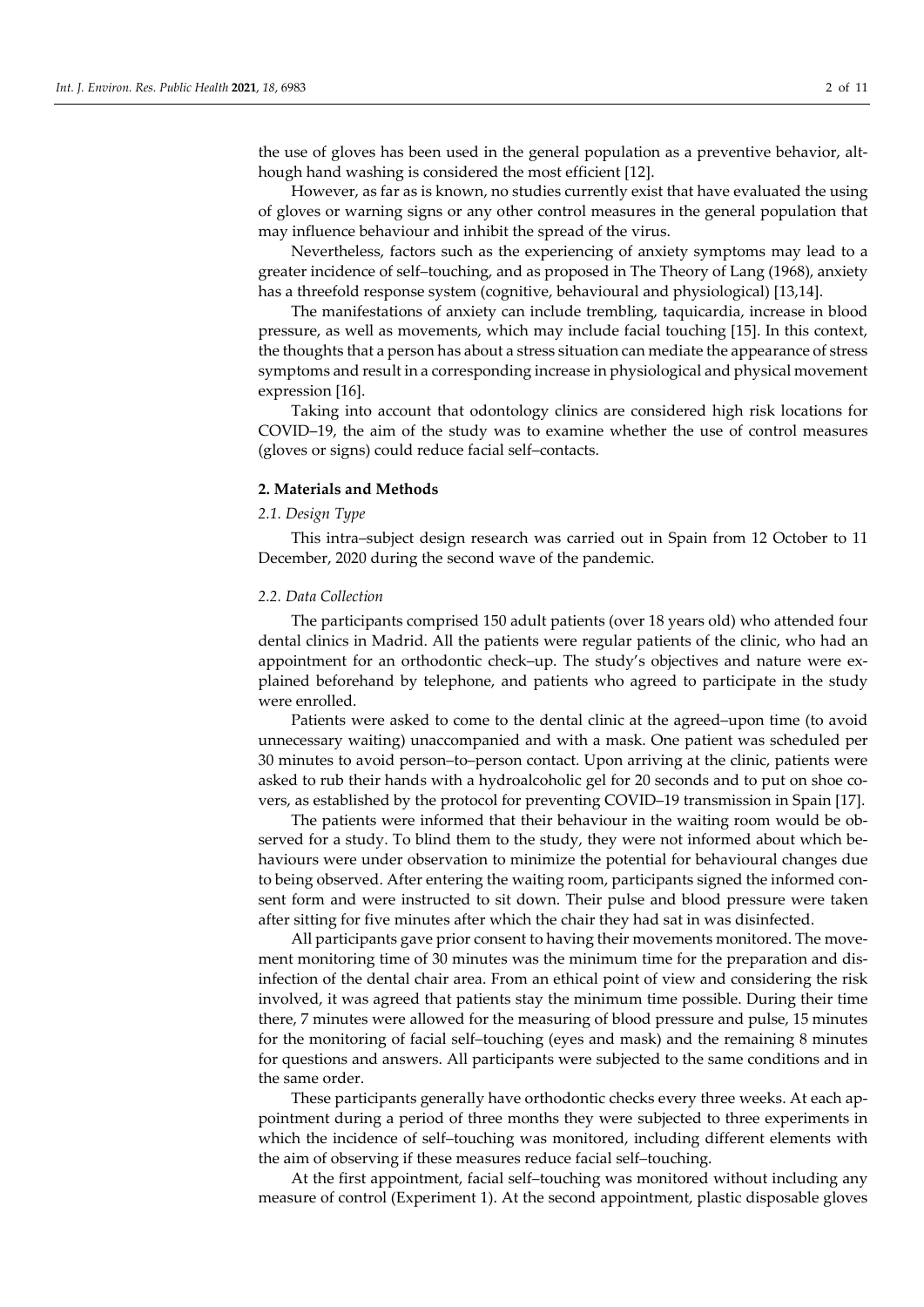the use of gloves has been used in the general population as a preventive behavior, although hand washing is considered the most efficient [12].

However, as far as is known, no studies currently exist that have evaluated the using of gloves or warning signs or any other control measures in the general population that may influence behaviour and inhibit the spread of the virus.

Nevertheless, factors such as the experiencing of anxiety symptoms may lead to a greater incidence of self–touching, and as proposed in The Theory of Lang (1968), anxiety has a threefold response system (cognitive, behavioural and physiological) [13,14].

The manifestations of anxiety can include trembling, taquicardia, increase in blood pressure, as well as movements, which may include facial touching [15]. In this context, the thoughts that a person has about a stress situation can mediate the appearance of stress symptoms and result in a corresponding increase in physiological and physical movement expression [16].

Taking into account that odontology clinics are considered high risk locations for COVID–19, the aim of the study was to examine whether the use of control measures (gloves or signs) could reduce facial self–contacts.

#### **2. Materials and Methods**

## *2.1. Design Type*

This intra–subject design research was carried out in Spain from 12 October to 11 December, 2020 during the second wave of the pandemic.

## *2.2. Data Collection*

The participants comprised 150 adult patients (over 18 years old) who attended four dental clinics in Madrid. All the patients were regular patients of the clinic, who had an appointment for an orthodontic check–up. The study's objectives and nature were explained beforehand by telephone, and patients who agreed to participate in the study were enrolled.

Patients were asked to come to the dental clinic at the agreed–upon time (to avoid unnecessary waiting) unaccompanied and with a mask. One patient was scheduled per 30 minutes to avoid person–to–person contact. Upon arriving at the clinic, patients were asked to rub their hands with a hydroalcoholic gel for 20 seconds and to put on shoe covers, as established by the protocol for preventing COVID–19 transmission in Spain [17].

The patients were informed that their behaviour in the waiting room would be observed for a study. To blind them to the study, they were not informed about which behaviours were under observation to minimize the potential for behavioural changes due to being observed. After entering the waiting room, participants signed the informed consent form and were instructed to sit down. Their pulse and blood pressure were taken after sitting for five minutes after which the chair they had sat in was disinfected.

All participants gave prior consent to having their movements monitored. The movement monitoring time of 30 minutes was the minimum time for the preparation and disinfection of the dental chair area. From an ethical point of view and considering the risk involved, it was agreed that patients stay the minimum time possible. During their time there, 7 minutes were allowed for the measuring of blood pressure and pulse, 15 minutes for the monitoring of facial self–touching (eyes and mask) and the remaining 8 minutes for questions and answers. All participants were subjected to the same conditions and in the same order.

These participants generally have orthodontic checks every three weeks. At each appointment during a period of three months they were subjected to three experiments in which the incidence of self–touching was monitored, including different elements with the aim of observing if these measures reduce facial self–touching.

At the first appointment, facial self–touching was monitored without including any measure of control (Experiment 1). At the second appointment, plastic disposable gloves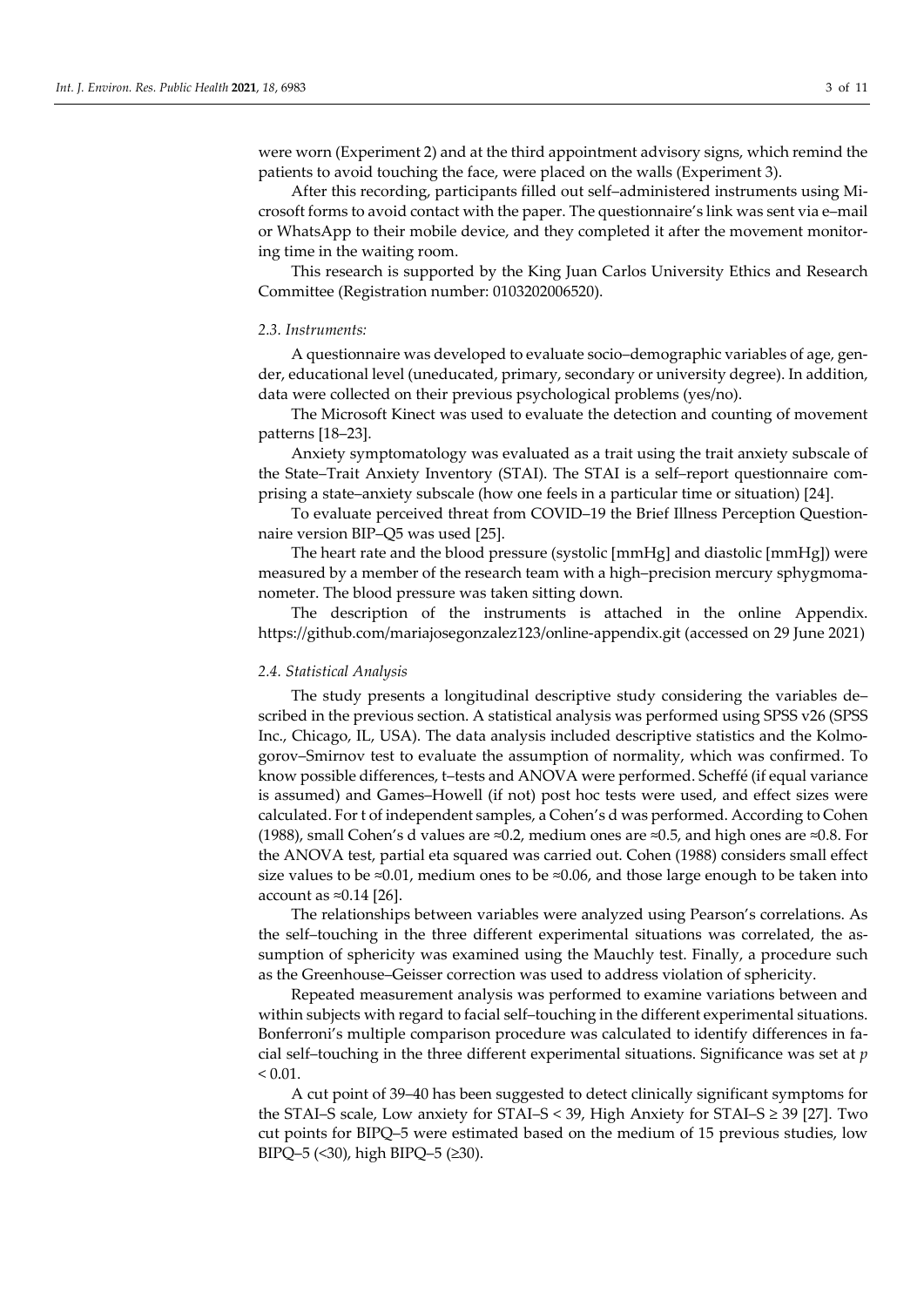were worn (Experiment 2) and at the third appointment advisory signs, which remind the patients to avoid touching the face, were placed on the walls (Experiment 3).

After this recording, participants filled out self–administered instruments using Microsoft forms to avoid contact with the paper. The questionnaire's link was sent via e–mail or WhatsApp to their mobile device, and they completed it after the movement monitoring time in the waiting room.

This research is supported by the King Juan Carlos University Ethics and Research Committee (Registration number: 0103202006520).

#### *2.3. Instruments:*

A questionnaire was developed to evaluate socio–demographic variables of age, gender, educational level (uneducated, primary, secondary or university degree). In addition, data were collected on their previous psychological problems (yes/no).

The Microsoft Kinect was used to evaluate the detection and counting of movement patterns [18–23].

Anxiety symptomatology was evaluated as a trait using the trait anxiety subscale of the State–Trait Anxiety Inventory (STAI). The STAI is a self–report questionnaire comprising a state–anxiety subscale (how one feels in a particular time or situation) [24].

To evaluate perceived threat from COVID–19 the Brief Illness Perception Questionnaire version BIP–Q5 was used [25].

The heart rate and the blood pressure (systolic [mmHg] and diastolic [mmHg]) were measured by a member of the research team with a high–precision mercury sphygmomanometer. The blood pressure was taken sitting down.

The description of the instruments is attached in the online Appendix. https://github.com/mariajosegonzalez123/online-appendix.git (accessed on 29 June 2021)

## *2.4. Statistical Analysis*

The study presents a longitudinal descriptive study considering the variables de– scribed in the previous section. A statistical analysis was performed using SPSS v26 (SPSS Inc., Chicago, IL, USA). The data analysis included descriptive statistics and the Kolmogorov–Smirnov test to evaluate the assumption of normality, which was confirmed. To know possible differences, t–tests and ANOVA were performed. Scheffé (if equal variance is assumed) and Games–Howell (if not) post hoc tests were used, and effect sizes were calculated. For t of independent samples, a Cohen's d was performed. According to Cohen (1988), small Cohen's d values are ≈0.2, medium ones are ≈0.5, and high ones are ≈0.8. For the ANOVA test, partial eta squared was carried out. Cohen (1988) considers small effect size values to be ≈0.01, medium ones to be ≈0.06, and those large enough to be taken into account as ≈0.14 [26].

The relationships between variables were analyzed using Pearson's correlations. As the self–touching in the three different experimental situations was correlated, the assumption of sphericity was examined using the Mauchly test. Finally, a procedure such as the Greenhouse–Geisser correction was used to address violation of sphericity.

Repeated measurement analysis was performed to examine variations between and within subjects with regard to facial self–touching in the different experimental situations. Bonferroni's multiple comparison procedure was calculated to identify differences in facial self–touching in the three different experimental situations. Significance was set at *p*  $< 0.01$ .

A cut point of 39–40 has been suggested to detect clinically significant symptoms for the STAI–S scale, Low anxiety for STAI–S < 39, High Anxiety for STAI–S ≥ 39 [27]. Two cut points for BIPQ–5 were estimated based on the medium of 15 previous studies, low BIPQ–5 (<30), high BIPQ–5 (≥30).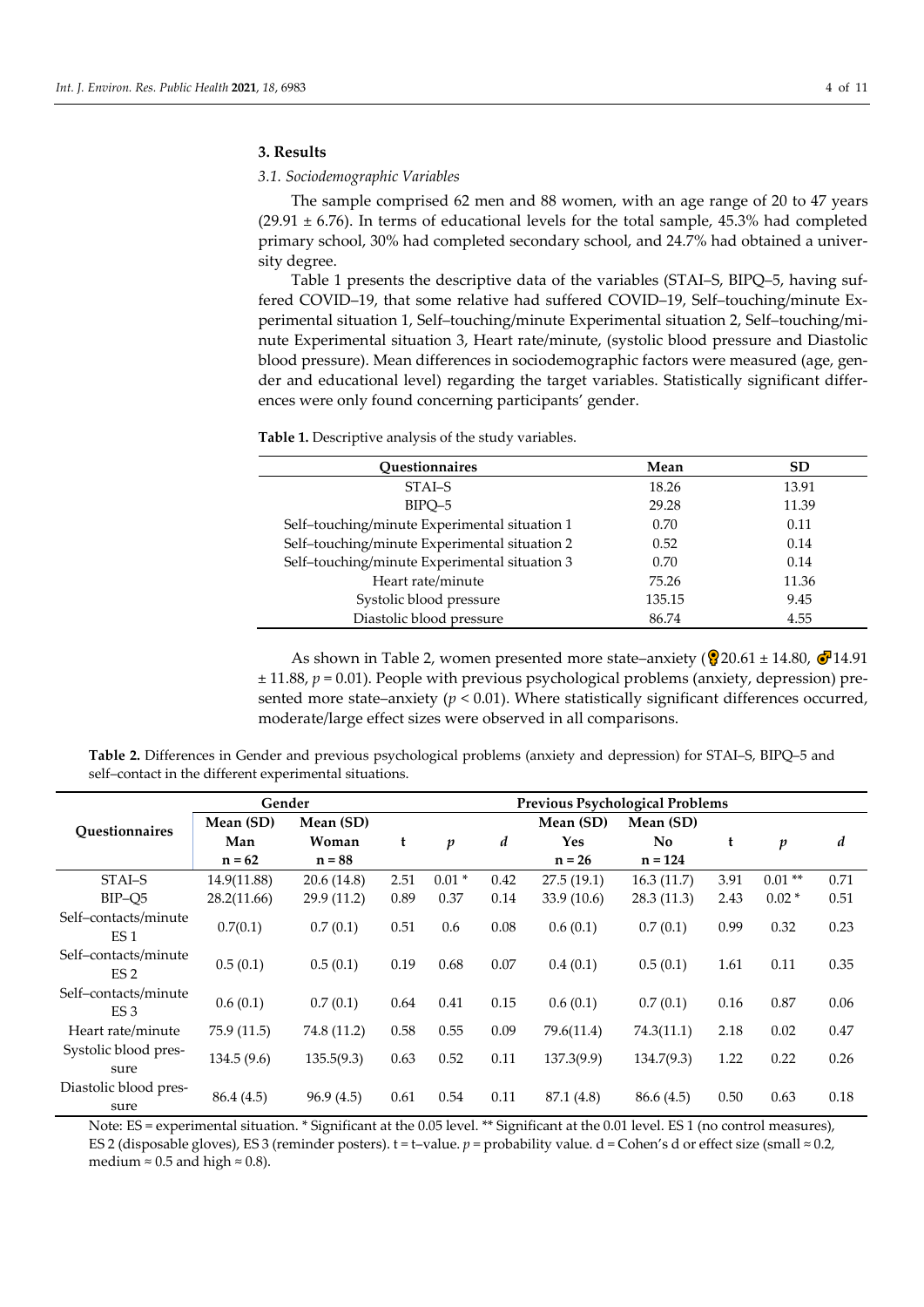## **3. Results**

*3.1. Sociodemographic Variables*

The sample comprised 62 men and 88 women, with an age range of 20 to 47 years  $(29.91 \pm 6.76)$ . In terms of educational levels for the total sample, 45.3% had completed primary school, 30% had completed secondary school, and 24.7% had obtained a university degree.

Table 1 presents the descriptive data of the variables (STAI–S, BIPQ–5, having suffered COVID–19, that some relative had suffered COVID–19, Self–touching/minute Experimental situation 1, Self–touching/minute Experimental situation 2, Self–touching/minute Experimental situation 3, Heart rate/minute, (systolic blood pressure and Diastolic blood pressure). Mean differences in sociodemographic factors were measured (age, gender and educational level) regarding the target variables. Statistically significant differences were only found concerning participants' gender.

| Questionnaires                                | Mean   | <b>SD</b> |
|-----------------------------------------------|--------|-----------|
| STAI-S                                        | 18.26  | 13.91     |
| BIPO-5                                        | 29.28  | 11.39     |
| Self-touching/minute Experimental situation 1 | 0.70   | 0.11      |
| Self-touching/minute Experimental situation 2 | 0.52   | 0.14      |
| Self-touching/minute Experimental situation 3 | 0.70   | 0.14      |
| Heart rate/minute                             | 75.26  | 11.36     |
| Systolic blood pressure                       | 135.15 | 9.45      |
| Diastolic blood pressure                      | 86.74  | 4.55      |

**Table 1.** Descriptive analysis of the study variables.

As shown in Table 2, women presented more state–anxiety ( $\frac{1}{2}$ 20.61 ± 14.80,  $\frac{1}{2}$ 14.91 ± 11.88, *p* = 0.01). People with previous psychological problems (anxiety, depression) presented more state–anxiety  $(p < 0.01)$ . Where statistically significant differences occurred, moderate/large effect sizes were observed in all comparisons.

**Table 2.** Differences in Gender and previous psychological problems (anxiety and depression) for STAI–S, BIPQ–5 and self–contact in the different experimental situations.

|                                         | Gender      | <b>Previous Psychological Problems</b> |      |                  |      |             |            |      |                  |                  |
|-----------------------------------------|-------------|----------------------------------------|------|------------------|------|-------------|------------|------|------------------|------------------|
| <b>Questionnaires</b>                   | Mean (SD)   | Mean (SD)                              |      |                  |      | Mean (SD)   | Mean (SD)  |      |                  |                  |
|                                         | Man         | Woman                                  | t    | $\boldsymbol{p}$ | d    | Yes         | No.        | t    | $\boldsymbol{p}$ | $\boldsymbol{d}$ |
|                                         | $n = 62$    | $n = 88$                               |      |                  |      | $n = 26$    | $n = 124$  |      |                  |                  |
| STAI-S                                  | 14.9(11.88) | 20.6(14.8)                             | 2.51 | $0.01*$          | 0.42 | 27.5(19.1)  | 16.3(11.7) | 3.91 | $0.01**$         | 0.71             |
| BIP-Q5                                  | 28.2(11.66) | 29.9 (11.2)                            | 0.89 | 0.37             | 0.14 | 33.9 (10.6) | 28.3(11.3) | 2.43 | $0.02*$          | 0.51             |
| Self-contacts/minute<br>ES <sub>1</sub> | 0.7(0.1)    | 0.7(0.1)                               | 0.51 | 0.6              | 0.08 | 0.6(0.1)    | 0.7(0.1)   | 0.99 | 0.32             | 0.23             |
| Self-contacts/minute<br>ES <sub>2</sub> | 0.5(0.1)    | 0.5(0.1)                               | 0.19 | 0.68             | 0.07 | 0.4(0.1)    | 0.5(0.1)   | 1.61 | 0.11             | 0.35             |
| Self-contacts/minute<br>ES <sub>3</sub> | 0.6(0.1)    | 0.7(0.1)                               | 0.64 | 0.41             | 0.15 | 0.6(0.1)    | 0.7(0.1)   | 0.16 | 0.87             | 0.06             |
| Heart rate/minute                       | 75.9 (11.5) | 74.8 (11.2)                            | 0.58 | 0.55             | 0.09 | 79.6(11.4)  | 74.3(11.1) | 2.18 | 0.02             | 0.47             |
| Systolic blood pres-<br>sure            | 134.5(9.6)  | 135.5(9.3)                             | 0.63 | 0.52             | 0.11 | 137.3(9.9)  | 134.7(9.3) | 1.22 | 0.22             | 0.26             |
| Diastolic blood pres-<br>sure           | 86.4 (4.5)  | 96.9(4.5)                              | 0.61 | 0.54             | 0.11 | 87.1 (4.8)  | 86.6 (4.5) | 0.50 | 0.63             | 0.18             |

Note: ES = experimental situation. \* Significant at the 0.05 level. \*\* Significant at the 0.01 level. ES 1 (no control measures), ES 2 (disposable gloves), ES 3 (reminder posters). t = t–value. *p* = probability value. d = Cohen's d or effect size (small ≈ 0.2, medium  $\approx 0.5$  and high  $\approx 0.8$ ).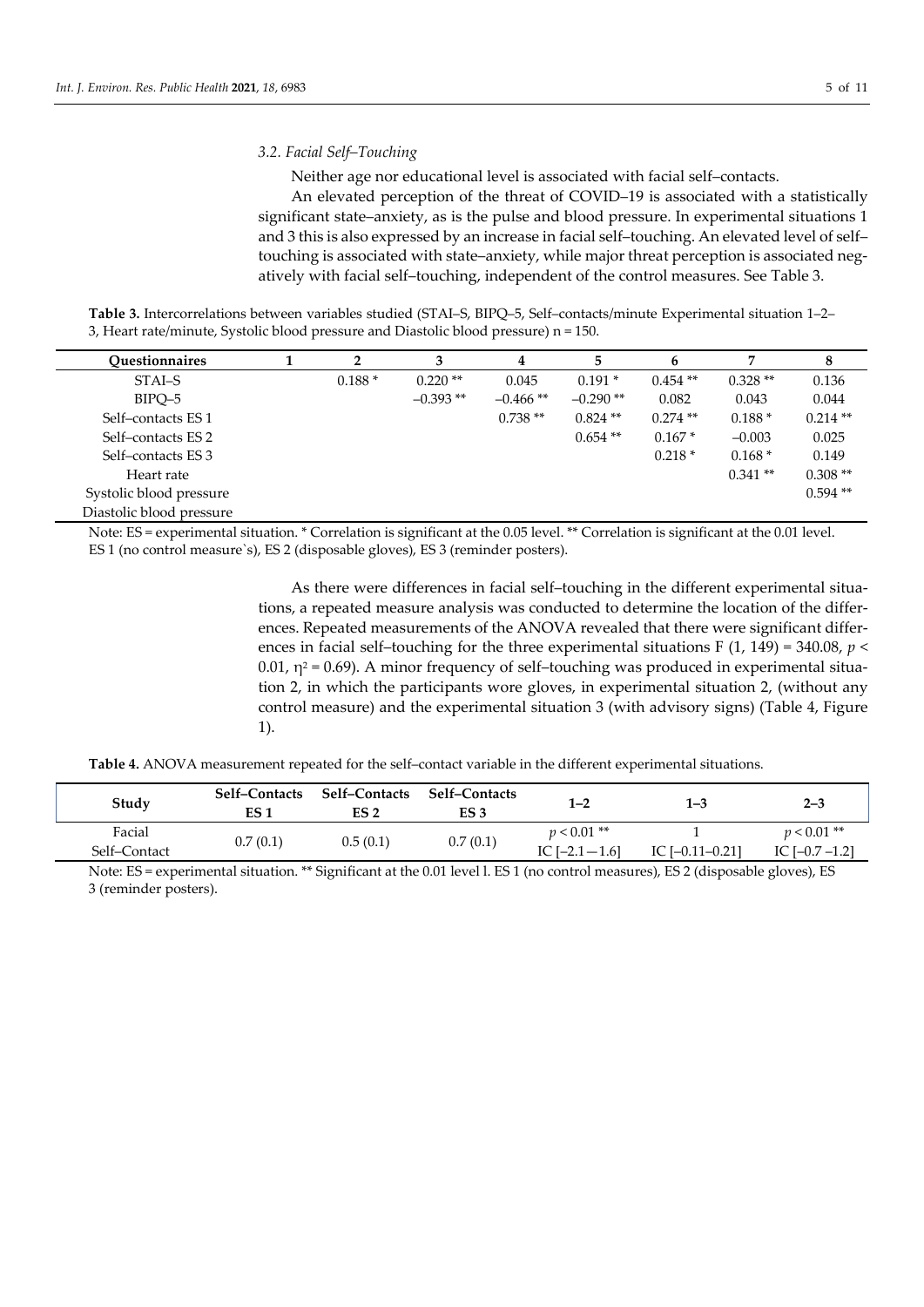## *3.2. Facial Self–Touching*

Neither age nor educational level is associated with facial self–contacts.

An elevated perception of the threat of COVID–19 is associated with a statistically significant state–anxiety, as is the pulse and blood pressure. In experimental situations 1 and 3 this is also expressed by an increase in facial self–touching. An elevated level of self– touching is associated with state–anxiety, while major threat perception is associated negatively with facial self–touching, independent of the control measures. See Table 3.

**Table 3.** Intercorrelations between variables studied (STAI–S, BIPQ–5, Self–contacts/minute Experimental situation 1–2– 3, Heart rate/minute, Systolic blood pressure and Diastolic blood pressure) n = 150.

| Ouestionnaires           |          |            | 4          |            | 6          | 7         | 8         |
|--------------------------|----------|------------|------------|------------|------------|-----------|-----------|
| STAI-S                   | $0.188*$ | $0.220**$  | 0.045      | $0.191*$   | $0.454**$  | $0.328**$ | 0.136     |
| BIPO-5                   |          | $-0.393**$ | $-0.466**$ | $-0.290**$ | 0.082      | 0.043     | 0.044     |
| Self-contacts ES 1       |          |            | $0.738**$  | $0.824$ ** | $0.274$ ** | $0.188*$  | $0.214**$ |
| Self-contacts ES 2       |          |            |            | $0.654$ ** | $0.167*$   | $-0.003$  | 0.025     |
| Self-contacts ES 3       |          |            |            |            | $0.218*$   | $0.168*$  | 0.149     |
| Heart rate               |          |            |            |            |            | $0.341**$ | $0.308**$ |
| Systolic blood pressure  |          |            |            |            |            |           | $0.594**$ |
| Diastolic blood pressure |          |            |            |            |            |           |           |

Note: ES = experimental situation. \* Correlation is significant at the 0.05 level. \*\* Correlation is significant at the 0.01 level. ES 1 (no control measure`s), ES 2 (disposable gloves), ES 3 (reminder posters).

> As there were differences in facial self–touching in the different experimental situations, a repeated measure analysis was conducted to determine the location of the differences. Repeated measurements of the ANOVA revealed that there were significant differences in facial self–touching for the three experimental situations F  $(1, 149) = 340.08$ ,  $p \le$ 0.01,  $η<sup>2</sup> = 0.69$ ). A minor frequency of self-touching was produced in experimental situation 2, in which the participants wore gloves, in experimental situation 2, (without any control measure) and the experimental situation 3 (with advisory signs) (Table 4, Figure 1).

**Table 4.** ANOVA measurement repeated for the self–contact variable in the different experimental situations.

| Study                  | <b>Self-Contacts</b><br>ES 1 | Self-Contacts<br>ES <sub>2</sub> | <b>Self–Contacts</b><br>ES 3 | 1–2                                | 1–3                 | $2 - 3$                            |
|------------------------|------------------------------|----------------------------------|------------------------------|------------------------------------|---------------------|------------------------------------|
| Facial<br>Self-Contact | 0.7(0.1)                     | 0.5(0.1)                         | 0.7(0.1)                     | $p < 0.01$ **<br>IC $[-2.1 - 1.6]$ | IC $[-0.11 - 0.21]$ | $p < 0.01$ **<br>IC $[-0.7 - 1.2]$ |

Note: ES = experimental situation. \*\* Significant at the 0.01 level l. ES 1 (no control measures), ES 2 (disposable gloves), ES 3 (reminder posters).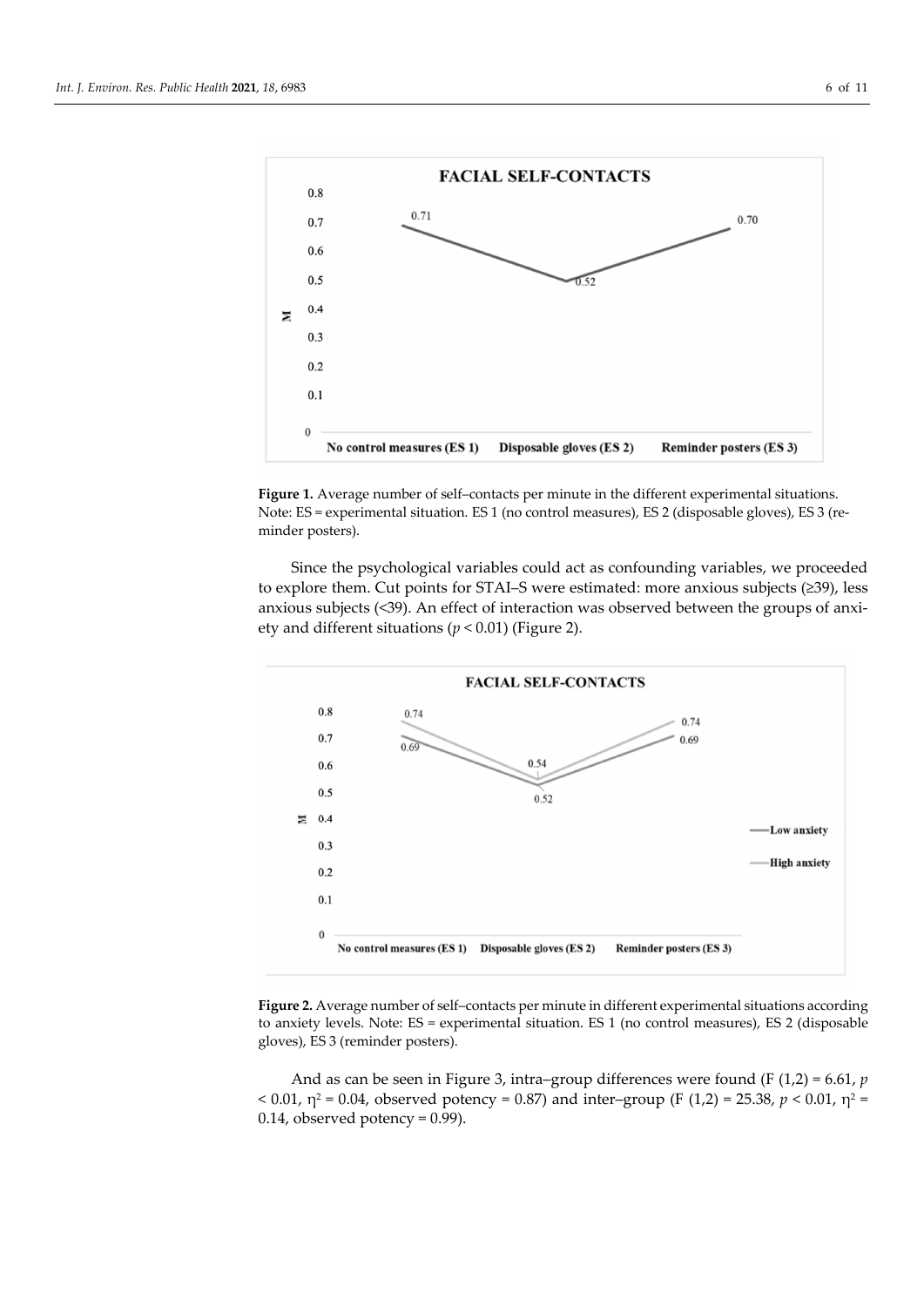

**Figure 1.** Average number of self–contacts per minute in the different experimental situations. Note: ES = experimental situation. ES 1 (no control measures), ES 2 (disposable gloves), ES 3 (reminder posters).

Since the psychological variables could act as confounding variables, we proceeded to explore them. Cut points for STAI–S were estimated: more anxious subjects (≥39), less anxious subjects (<39). An effect of interaction was observed between the groups of anxiety and different situations (*p* < 0.01) (Figure 2).



**Figure 2.** Average number of self–contacts per minute in different experimental situations according to anxiety levels. Note: ES = experimental situation. ES 1 (no control measures), ES 2 (disposable gloves), ES 3 (reminder posters).

And as can be seen in Figure 3, intra–group differences were found (F (1,2) = 6.61, *p* < 0.01,  $η^2$  = 0.04, observed potency = 0.87) and inter-group (F (1,2) = 25.38,  $p$  < 0.01,  $η^2$  =  $0.14$ , observed potency = 0.99).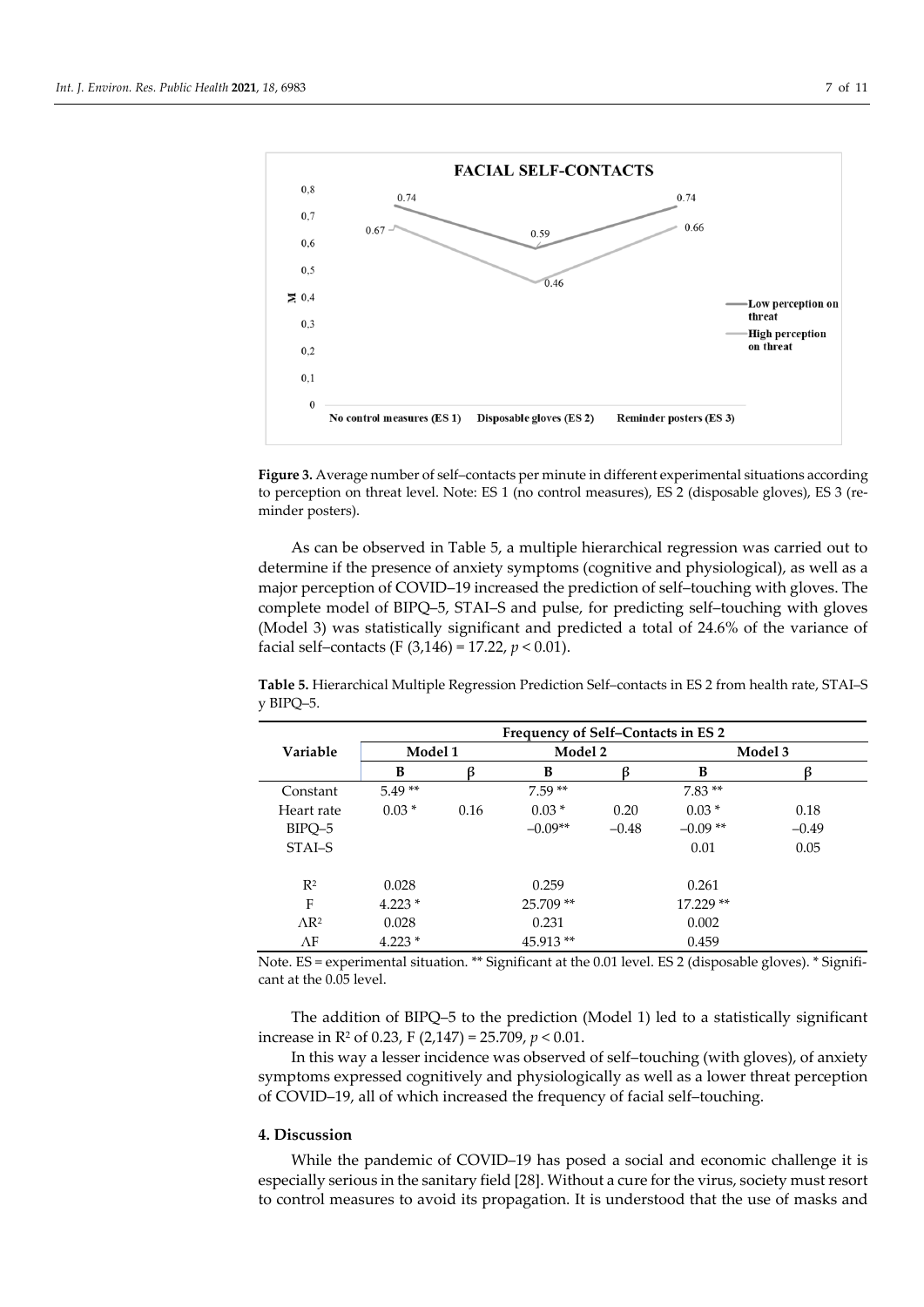

**Figure 3.** Average number of self–contacts per minute in different experimental situations according to perception on threat level. Note: ES 1 (no control measures), ES 2 (disposable gloves), ES 3 (reminder posters).

As can be observed in Table 5, a multiple hierarchical regression was carried out to determine if the presence of anxiety symptoms (cognitive and physiological), as well as a major perception of COVID–19 increased the prediction of self–touching with gloves. The complete model of BIPQ–5, STAI–S and pulse, for predicting self–touching with gloves (Model 3) was statistically significant and predicted a total of 24.6% of the variance of facial self–contacts (F (3,146) = 17.22, *p* < 0.01).

**Table 5.** Hierarchical Multiple Regression Prediction Self–contacts in ES 2 from health rate, STAI–S y BIPQ–5.

|                 | Frequency of Self-Contacts in ES 2 |      |              |         |           |         |  |
|-----------------|------------------------------------|------|--------------|---------|-----------|---------|--|
| Variable        | Model 1                            |      | Model 2<br>B |         | Model 3   |         |  |
|                 | B                                  | R    |              |         | B         | R       |  |
| Constant        | $5.49**$                           |      | $7.59**$     |         | $7.83**$  |         |  |
| Heart rate      | $0.03*$                            | 0.16 | $0.03*$      | 0.20    | $0.03*$   | 0.18    |  |
| BIPQ-5          |                                    |      | $-0.09**$    | $-0.48$ | $-0.09**$ | $-0.49$ |  |
| STAI-S          |                                    |      |              |         | 0.01      | 0.05    |  |
|                 |                                    |      |              |         |           |         |  |
| $R^2$           | 0.028                              |      | 0.259        |         | 0.261     |         |  |
| F               | $4.223*$                           |      | 25.709**     |         | 17.229 ** |         |  |
| $\triangle R^2$ | 0.028                              |      | 0.231        |         | 0.002     |         |  |
| $\Lambda$ F     | $4.223*$                           |      | 45.913**     |         | 0.459     |         |  |

Note. ES = experimental situation. \*\* Significant at the 0.01 level. ES 2 (disposable gloves). \* Significant at the 0.05 level.

The addition of BIPQ–5 to the prediction (Model 1) led to a statistically significant increase in R2 of 0.23, F (2,147) = 25.709, *p* < 0.01.

In this way a lesser incidence was observed of self–touching (with gloves), of anxiety symptoms expressed cognitively and physiologically as well as a lower threat perception of COVID–19, all of which increased the frequency of facial self–touching.

#### **4. Discussion**

While the pandemic of COVID–19 has posed a social and economic challenge it is especially serious in the sanitary field [28]. Without a cure for the virus, society must resort to control measures to avoid its propagation. It is understood that the use of masks and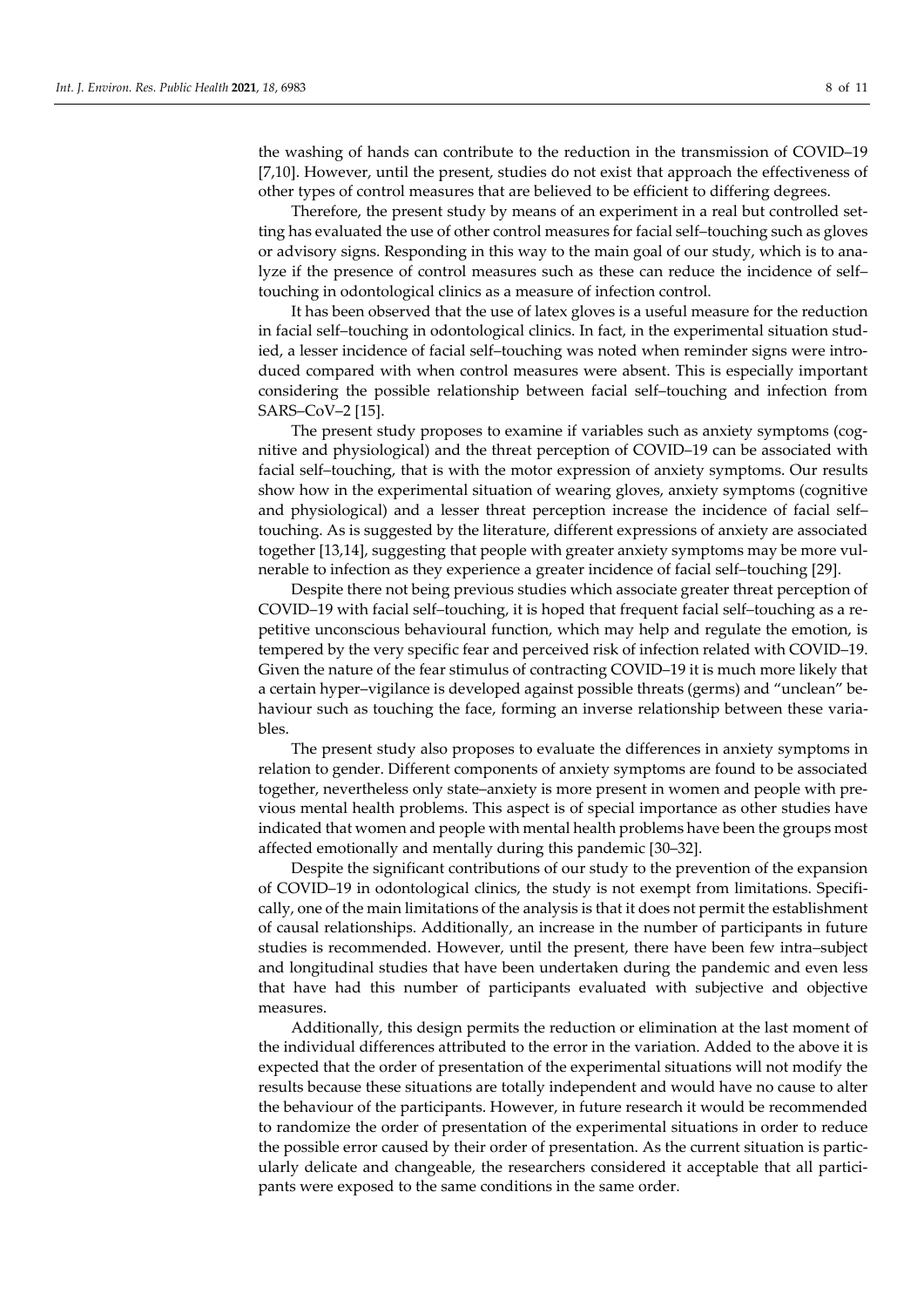the washing of hands can contribute to the reduction in the transmission of COVID–19 [7,10]. However, until the present, studies do not exist that approach the effectiveness of other types of control measures that are believed to be efficient to differing degrees.

Therefore, the present study by means of an experiment in a real but controlled setting has evaluated the use of other control measures for facial self–touching such as gloves or advisory signs. Responding in this way to the main goal of our study, which is to analyze if the presence of control measures such as these can reduce the incidence of self– touching in odontological clinics as a measure of infection control.

It has been observed that the use of latex gloves is a useful measure for the reduction in facial self–touching in odontological clinics. In fact, in the experimental situation studied, a lesser incidence of facial self–touching was noted when reminder signs were introduced compared with when control measures were absent. This is especially important considering the possible relationship between facial self–touching and infection from SARS–CoV–2 [15].

The present study proposes to examine if variables such as anxiety symptoms (cognitive and physiological) and the threat perception of COVID–19 can be associated with facial self–touching, that is with the motor expression of anxiety symptoms. Our results show how in the experimental situation of wearing gloves, anxiety symptoms (cognitive and physiological) and a lesser threat perception increase the incidence of facial self– touching. As is suggested by the literature, different expressions of anxiety are associated together [13,14], suggesting that people with greater anxiety symptoms may be more vulnerable to infection as they experience a greater incidence of facial self–touching [29].

Despite there not being previous studies which associate greater threat perception of COVID–19 with facial self–touching, it is hoped that frequent facial self–touching as a repetitive unconscious behavioural function, which may help and regulate the emotion, is tempered by the very specific fear and perceived risk of infection related with COVID–19. Given the nature of the fear stimulus of contracting COVID–19 it is much more likely that a certain hyper–vigilance is developed against possible threats (germs) and "unclean" behaviour such as touching the face, forming an inverse relationship between these variables.

The present study also proposes to evaluate the differences in anxiety symptoms in relation to gender. Different components of anxiety symptoms are found to be associated together, nevertheless only state–anxiety is more present in women and people with previous mental health problems. This aspect is of special importance as other studies have indicated that women and people with mental health problems have been the groups most affected emotionally and mentally during this pandemic [30–32].

Despite the significant contributions of our study to the prevention of the expansion of COVID–19 in odontological clinics, the study is not exempt from limitations. Specifically, one of the main limitations of the analysis is that it does not permit the establishment of causal relationships. Additionally, an increase in the number of participants in future studies is recommended. However, until the present, there have been few intra–subject and longitudinal studies that have been undertaken during the pandemic and even less that have had this number of participants evaluated with subjective and objective measures.

Additionally, this design permits the reduction or elimination at the last moment of the individual differences attributed to the error in the variation. Added to the above it is expected that the order of presentation of the experimental situations will not modify the results because these situations are totally independent and would have no cause to alter the behaviour of the participants. However, in future research it would be recommended to randomize the order of presentation of the experimental situations in order to reduce the possible error caused by their order of presentation. As the current situation is particularly delicate and changeable, the researchers considered it acceptable that all participants were exposed to the same conditions in the same order.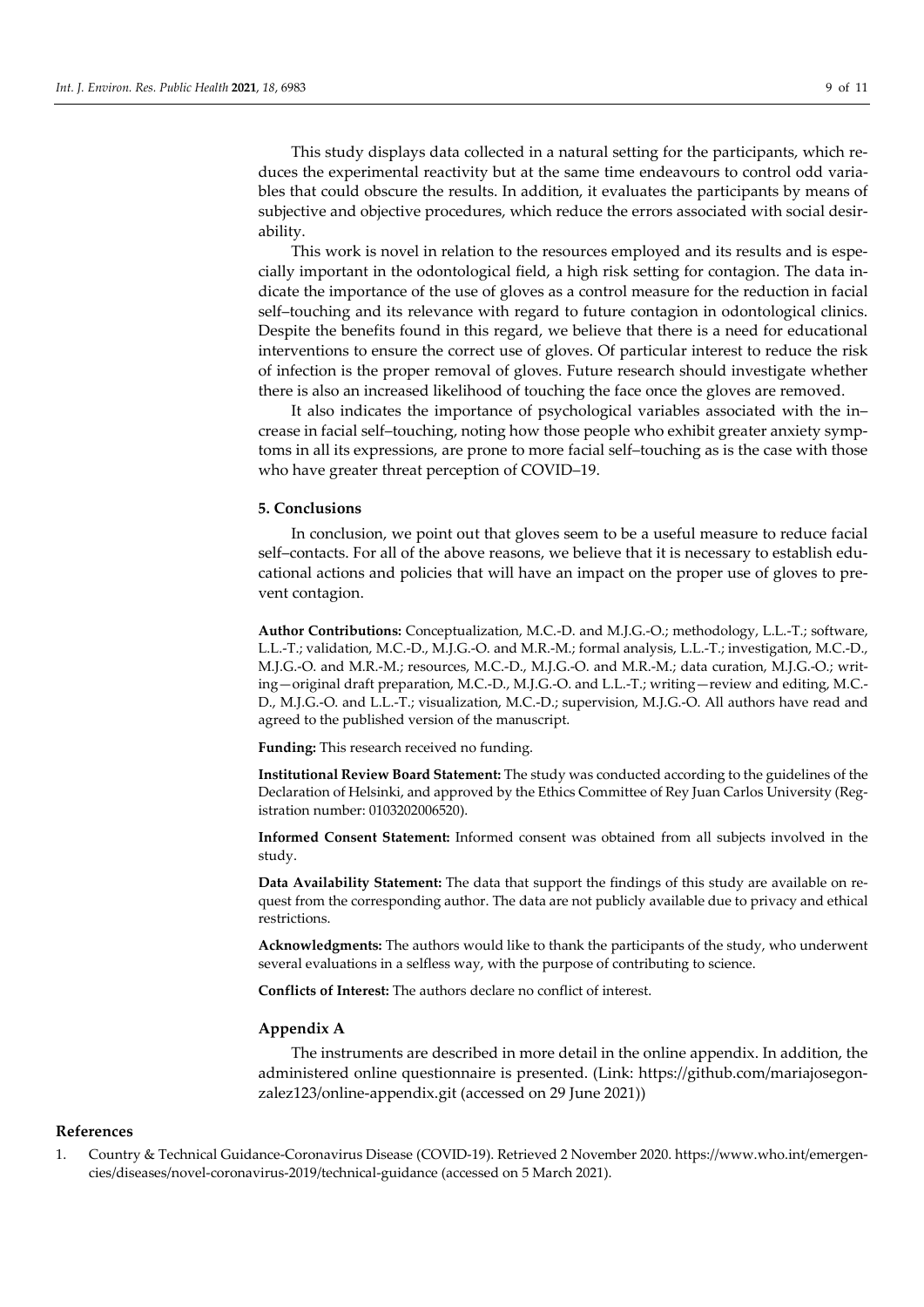This study displays data collected in a natural setting for the participants, which reduces the experimental reactivity but at the same time endeavours to control odd variables that could obscure the results. In addition, it evaluates the participants by means of subjective and objective procedures, which reduce the errors associated with social desirability.

This work is novel in relation to the resources employed and its results and is especially important in the odontological field, a high risk setting for contagion. The data indicate the importance of the use of gloves as a control measure for the reduction in facial self–touching and its relevance with regard to future contagion in odontological clinics. Despite the benefits found in this regard, we believe that there is a need for educational interventions to ensure the correct use of gloves. Of particular interest to reduce the risk of infection is the proper removal of gloves. Future research should investigate whether there is also an increased likelihood of touching the face once the gloves are removed.

It also indicates the importance of psychological variables associated with the in– crease in facial self–touching, noting how those people who exhibit greater anxiety symptoms in all its expressions, are prone to more facial self–touching as is the case with those who have greater threat perception of COVID–19.

#### **5. Conclusions**

In conclusion, we point out that gloves seem to be a useful measure to reduce facial self–contacts. For all of the above reasons, we believe that it is necessary to establish educational actions and policies that will have an impact on the proper use of gloves to prevent contagion.

**Author Contributions:** Conceptualization, M.C.-D. and M.J.G.-O.; methodology, L.L.-T.; software, L.L.-T.; validation, M.C.-D., M.J.G.-O. and M.R.-M.; formal analysis, L.L.-T.; investigation, M.C.-D., M.J.G.-O. and M.R.-M.; resources, M.C.-D., M.J.G.-O. and M.R.-M.; data curation, M.J.G.-O.; writing—original draft preparation, M.C.-D., M.J.G.-O. and L.L.-T.; writing—review and editing, M.C.- D., M.J.G.-O. and L.L.-T.; visualization, M.C.-D.; supervision, M.J.G.-O. All authors have read and agreed to the published version of the manuscript.

**Funding:** This research received no funding.

**Institutional Review Board Statement:** The study was conducted according to the guidelines of the Declaration of Helsinki, and approved by the Ethics Committee of Rey Juan Carlos University (Registration number: 0103202006520).

**Informed Consent Statement:** Informed consent was obtained from all subjects involved in the study.

**Data Availability Statement:** The data that support the findings of this study are available on request from the corresponding author. The data are not publicly available due to privacy and ethical restrictions.

**Acknowledgments:** The authors would like to thank the participants of the study, who underwent several evaluations in a selfless way, with the purpose of contributing to science.

**Conflicts of Interest:** The authors declare no conflict of interest.

## **Appendix A**

The instruments are described in more detail in the online appendix. In addition, the administered online questionnaire is presented. (Link: https://github.com/mariajosegonzalez123/online-appendix.git (accessed on 29 June 2021))

## **References**

1. Country & Technical Guidance-Coronavirus Disease (COVID-19). Retrieved 2 November 2020. https://www.who.int/emergencies/diseases/novel-coronavirus-2019/technical-guidance (accessed on 5 March 2021).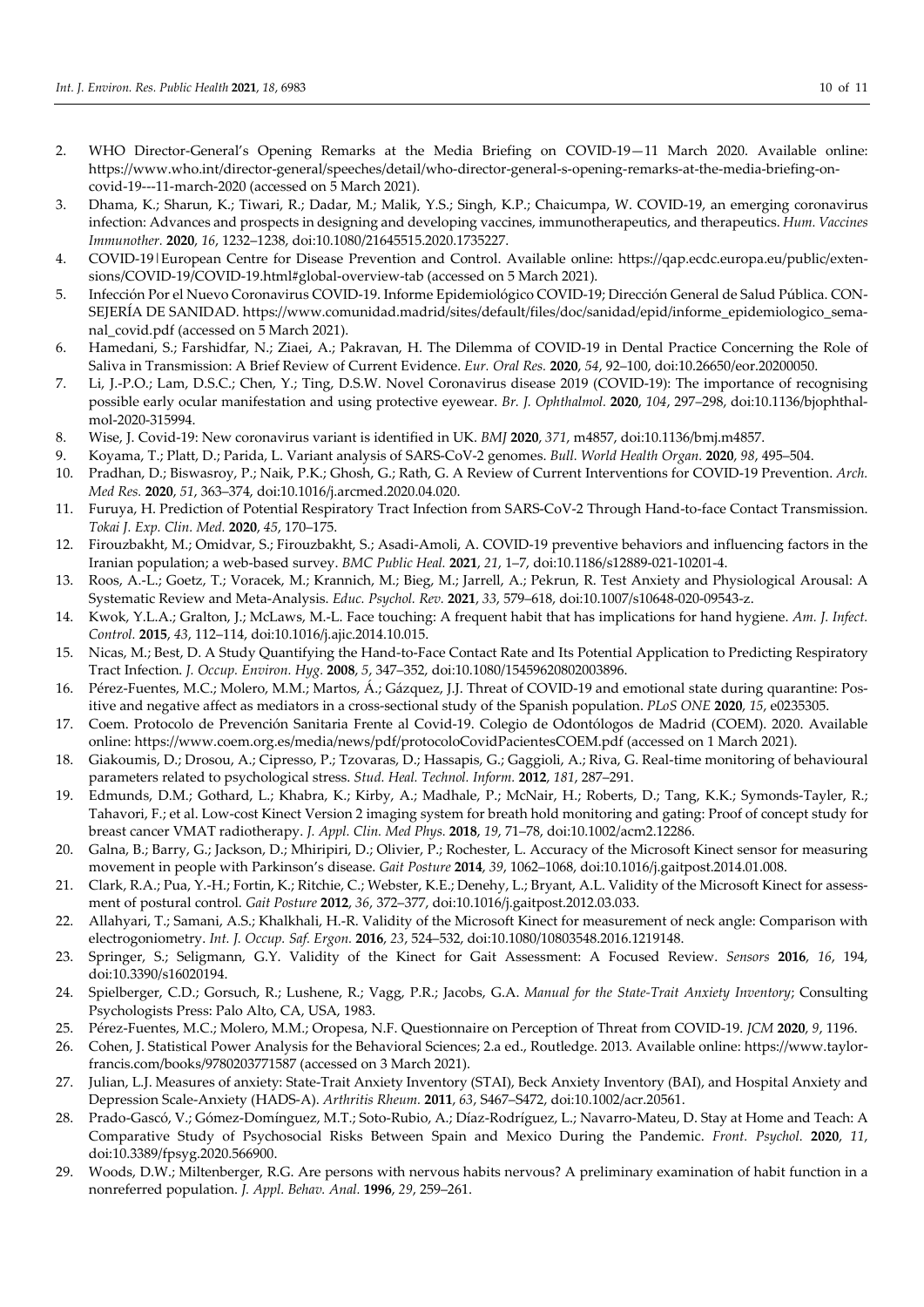- 2. WHO Director-General's Opening Remarks at the Media Briefing on COVID-19—11 March 2020. Available online: https://www.who.int/director-general/speeches/detail/who-director-general-s-opening-remarks-at-the-media-briefing-oncovid-19---11-march-2020 (accessed on 5 March 2021).
- 3. Dhama, K.; Sharun, K.; Tiwari, R.; Dadar, M.; Malik, Y.S.; Singh, K.P.; Chaicumpa, W. COVID-19, an emerging coronavirus infection: Advances and prospects in designing and developing vaccines, immunotherapeutics, and therapeutics. *Hum. Vaccines Immunother.* **2020**, *16*, 1232–1238, doi:10.1080/21645515.2020.1735227.
- 4. COVID-19|European Centre for Disease Prevention and Control. Available online: https://qap.ecdc.europa.eu/public/extensions/COVID-19/COVID-19.html#global-overview-tab (accessed on 5 March 2021).
- 5. Infección Por el Nuevo Coronavirus COVID-19. Informe Epidemiológico COVID-19; Dirección General de Salud Pública. CON-SEJERÍA DE SANIDAD. https://www.comunidad.madrid/sites/default/files/doc/sanidad/epid/informe\_epidemiologico\_semanal\_covid.pdf (accessed on 5 March 2021).
- 6. Hamedani, S.; Farshidfar, N.; Ziaei, A.; Pakravan, H. The Dilemma of COVID-19 in Dental Practice Concerning the Role of Saliva in Transmission: A Brief Review of Current Evidence. *Eur. Oral Res.* **2020**, *54*, 92–100, doi:10.26650/eor.20200050.
- 7. Li, J.-P.O.; Lam, D.S.C.; Chen, Y.; Ting, D.S.W. Novel Coronavirus disease 2019 (COVID-19): The importance of recognising possible early ocular manifestation and using protective eyewear. *Br. J. Ophthalmol.* **2020**, *104*, 297–298, doi:10.1136/bjophthalmol-2020-315994.
- 8. Wise, J. Covid-19: New coronavirus variant is identified in UK. *BMJ* **2020**, *371*, m4857, doi:10.1136/bmj.m4857.
- 9. Koyama, T.; Platt, D.; Parida, L. Variant analysis of SARS-CoV-2 genomes. *Bull. World Health Organ.* **2020**, *98*, 495–504.
- 10. Pradhan, D.; Biswasroy, P.; Naik, P.K.; Ghosh, G.; Rath, G. A Review of Current Interventions for COVID-19 Prevention. *Arch. Med Res.* **2020**, *51*, 363–374, doi:10.1016/j.arcmed.2020.04.020.
- 11. Furuya, H. Prediction of Potential Respiratory Tract Infection from SARS-CoV-2 Through Hand-to-face Contact Transmission. *Tokai J. Exp. Clin. Med.* **2020**, *45*, 170–175.
- 12. Firouzbakht, M.; Omidvar, S.; Firouzbakht, S.; Asadi-Amoli, A. COVID-19 preventive behaviors and influencing factors in the Iranian population; a web-based survey. *BMC Public Heal.* **2021**, *21*, 1–7, doi:10.1186/s12889-021-10201-4.
- 13. Roos, A.-L.; Goetz, T.; Voracek, M.; Krannich, M.; Bieg, M.; Jarrell, A.; Pekrun, R. Test Anxiety and Physiological Arousal: A Systematic Review and Meta-Analysis. *Educ. Psychol. Rev.* **2021**, *33*, 579–618, doi:10.1007/s10648-020-09543-z.
- 14. Kwok, Y.L.A.; Gralton, J.; McLaws, M.-L. Face touching: A frequent habit that has implications for hand hygiene. *Am. J. Infect. Control.* **2015**, *43*, 112–114, doi:10.1016/j.ajic.2014.10.015.
- 15. Nicas, M.; Best, D. A Study Quantifying the Hand-to-Face Contact Rate and Its Potential Application to Predicting Respiratory Tract Infection. *J. Occup. Environ. Hyg.* **2008**, *5*, 347–352, doi:10.1080/15459620802003896.
- 16. Pérez-Fuentes, M.C.; Molero, M.M.; Martos, Á.; Gázquez, J.J. Threat of COVID-19 and emotional state during quarantine: Positive and negative affect as mediators in a cross-sectional study of the Spanish population. *PLoS ONE* **2020**, *15*, e0235305.
- 17. Coem. Protocolo de Prevención Sanitaria Frente al Covid-19. Colegio de Odontólogos de Madrid (COEM). 2020. Available online: https://www.coem.org.es/media/news/pdf/protocoloCovidPacientesCOEM.pdf (accessed on 1 March 2021).
- 18. Giakoumis, D.; Drosou, A.; Cipresso, P.; Tzovaras, D.; Hassapis, G.; Gaggioli, A.; Riva, G. Real-time monitoring of behavioural parameters related to psychological stress. *Stud. Heal. Technol. Inform.* **2012**, *181*, 287–291.
- 19. Edmunds, D.M.; Gothard, L.; Khabra, K.; Kirby, A.; Madhale, P.; McNair, H.; Roberts, D.; Tang, K.K.; Symonds-Tayler, R.; Tahavori, F.; et al. Low-cost Kinect Version 2 imaging system for breath hold monitoring and gating: Proof of concept study for breast cancer VMAT radiotherapy. *J. Appl. Clin. Med Phys.* **2018**, *19*, 71–78, doi:10.1002/acm2.12286.
- 20. Galna, B.; Barry, G.; Jackson, D.; Mhiripiri, D.; Olivier, P.; Rochester, L. Accuracy of the Microsoft Kinect sensor for measuring movement in people with Parkinson's disease. *Gait Posture* **2014**, *39*, 1062–1068, doi:10.1016/j.gaitpost.2014.01.008.
- 21. Clark, R.A.; Pua, Y.-H.; Fortin, K.; Ritchie, C.; Webster, K.E.; Denehy, L.; Bryant, A.L. Validity of the Microsoft Kinect for assessment of postural control. *Gait Posture* **2012**, *36*, 372–377, doi:10.1016/j.gaitpost.2012.03.033.
- 22. Allahyari, T.; Samani, A.S.; Khalkhali, H.-R. Validity of the Microsoft Kinect for measurement of neck angle: Comparison with electrogoniometry. *Int. J. Occup. Saf. Ergon.* **2016**, *23*, 524–532, doi:10.1080/10803548.2016.1219148.
- 23. Springer, S.; Seligmann, G.Y. Validity of the Kinect for Gait Assessment: A Focused Review. *Sensors* **2016**, *16*, 194, doi:10.3390/s16020194.
- 24. Spielberger, C.D.; Gorsuch, R.; Lushene, R.; Vagg, P.R.; Jacobs, G.A. *Manual for the State-Trait Anxiety Inventory*; Consulting Psychologists Press: Palo Alto, CA, USA, 1983.
- 25. Pérez-Fuentes, M.C.; Molero, M.M.; Oropesa, N.F. Questionnaire on Perception of Threat from COVID-19. *JCM* **2020**, *9*, 1196.
- 26. Cohen, J. Statistical Power Analysis for the Behavioral Sciences; 2.a ed., Routledge. 2013. Available online: https://www.taylorfrancis.com/books/9780203771587 (accessed on 3 March 2021).
- 27. Julian, L.J. Measures of anxiety: State-Trait Anxiety Inventory (STAI), Beck Anxiety Inventory (BAI), and Hospital Anxiety and Depression Scale-Anxiety (HADS-A). *Arthritis Rheum.* **2011**, *63*, S467–S472, doi:10.1002/acr.20561.
- 28. Prado-Gascó, V.; Gómez-Domínguez, M.T.; Soto-Rubio, A.; Díaz-Rodríguez, L.; Navarro-Mateu, D. Stay at Home and Teach: A Comparative Study of Psychosocial Risks Between Spain and Mexico During the Pandemic. *Front. Psychol.* **2020**, *11*, doi:10.3389/fpsyg.2020.566900.
- 29. Woods, D.W.; Miltenberger, R.G. Are persons with nervous habits nervous? A preliminary examination of habit function in a nonreferred population. *J. Appl. Behav. Anal.* **1996**, *29*, 259–261.